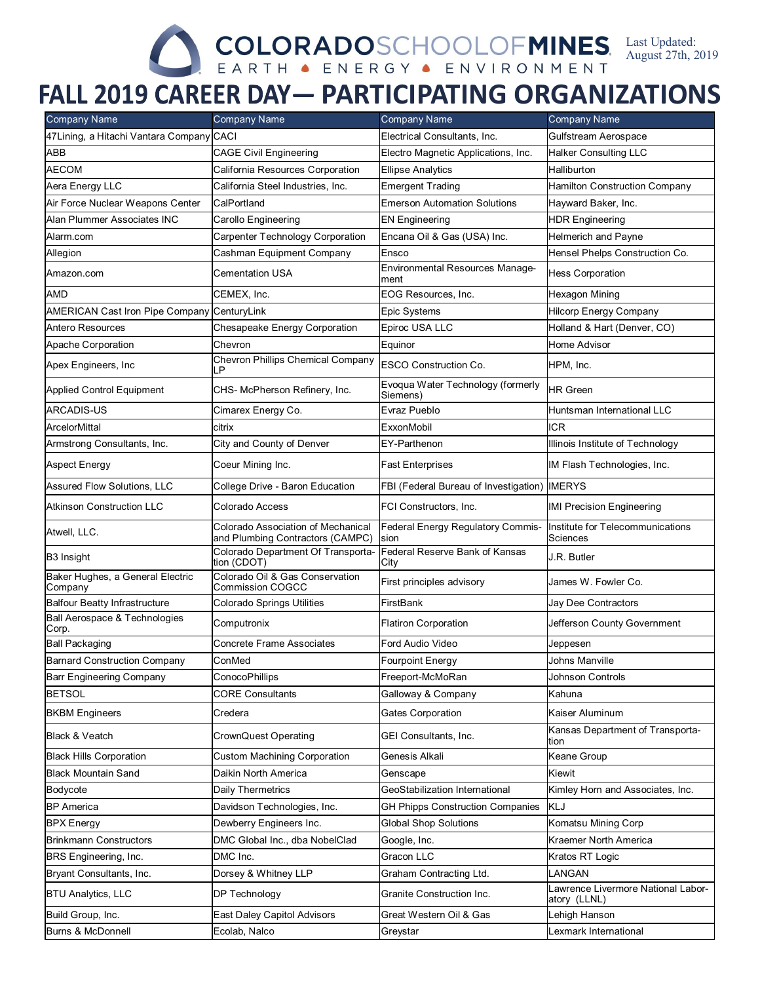## Last Updated: August 27th, 2019

## **FALL 2019 CAREER DAY - PARTICIPATING ORGANIZATIONS**

| <b>Company Name</b>                         | <b>Company Name</b>                                                    | <b>Company Name</b>                            | <b>Company Name</b>                                |
|---------------------------------------------|------------------------------------------------------------------------|------------------------------------------------|----------------------------------------------------|
| 47Lining, a Hitachi Vantara Company CACI    |                                                                        | Electrical Consultants, Inc.                   | Gulfstream Aerospace                               |
| ABB                                         | <b>CAGE Civil Engineering</b>                                          | Electro Magnetic Applications, Inc.            | <b>Halker Consulting LLC</b>                       |
| <b>AECOM</b>                                | California Resources Corporation                                       | <b>Ellipse Analytics</b>                       | Halliburton                                        |
| Aera Energy LLC                             | California Steel Industries, Inc.                                      | <b>Emergent Trading</b>                        | <b>Hamilton Construction Company</b>               |
| Air Force Nuclear Weapons Center            | CalPortland                                                            | <b>Emerson Automation Solutions</b>            | Hayward Baker, Inc.                                |
| Alan Plummer Associates INC                 | Carollo Engineering                                                    | <b>EN Engineering</b>                          | <b>HDR Engineering</b>                             |
| Alarm.com                                   | Carpenter Technology Corporation                                       | Encana Oil & Gas (USA) Inc.                    | <b>Helmerich and Payne</b>                         |
| Allegion                                    | Cashman Equipment Company                                              | Ensco                                          | Hensel Phelps Construction Co.                     |
| Amazon.com                                  | Cementation USA                                                        | <b>Environmental Resources Manage-</b><br>ment | <b>Hess Corporation</b>                            |
| AMD                                         | CEMEX, Inc.                                                            | EOG Resources, Inc.                            | Hexagon Mining                                     |
| <b>AMERICAN Cast Iron Pipe Company</b>      | CenturyLink                                                            | <b>Epic Systems</b>                            | <b>Hilcorp Energy Company</b>                      |
| Antero Resources                            | Chesapeake Energy Corporation                                          | Epiroc USA LLC                                 | Holland & Hart (Denver, CO)                        |
| Apache Corporation                          | Chevron                                                                | Equinor                                        | Home Advisor                                       |
| Apex Engineers, Inc.                        | <b>Chevron Phillips Chemical Company</b><br>LP                         | <b>ESCO Construction Co.</b>                   | HPM, Inc.                                          |
| <b>Applied Control Equipment</b>            | CHS- McPherson Refinery, Inc.                                          | Evoqua Water Technology (formerly<br>Siemens)  | <b>HR</b> Green                                    |
| <b>ARCADIS-US</b>                           | Cimarex Energy Co.                                                     | Evraz Pueblo                                   | Huntsman International LLC                         |
| ArcelorMittal                               | citrix                                                                 | ExxonMobil                                     | ICR                                                |
| Armstrong Consultants, Inc.                 | City and County of Denver                                              | EY-Parthenon                                   | Illinois Institute of Technology                   |
| <b>Aspect Energy</b>                        | Coeur Mining Inc.                                                      | <b>Fast Enterprises</b>                        | IM Flash Technologies, Inc.                        |
| <b>Assured Flow Solutions, LLC</b>          | College Drive - Baron Education                                        | FBI (Federal Bureau of Investigation) IMERYS   |                                                    |
| <b>Atkinson Construction LLC</b>            | Colorado Access                                                        | FCI Constructors, Inc.                         | <b>IMI Precision Engineering</b>                   |
| Atwell, LLC.                                | Colorado Association of Mechanical<br>and Plumbing Contractors (CAMPC) | Federal Energy Regulatory Commis-<br>sion      | Institute for Telecommunications<br>Sciences       |
| B3 Insight                                  | Colorado Department Of Transporta-<br>tion (CDOT)                      | Federal Reserve Bank of Kansas<br>City         | J.R. Butler                                        |
| Baker Hughes, a General Electric<br>Company | Colorado Oil & Gas Conservation<br>Commission COGCC                    | First principles advisory                      | James W. Fowler Co.                                |
| <b>Balfour Beatty Infrastructure</b>        | <b>Colorado Springs Utilities</b>                                      | FirstBank                                      | Jay Dee Contractors                                |
| Ball Aerospace & Technologies<br>Corp.      | Computronix                                                            | <b>Flatiron Corporation</b>                    | Jefferson County Government                        |
| Ball Packaging                              | Concrete Frame Associates                                              | Ford Audio Video                               | Jeppesen                                           |
| <b>Barnard Construction Company</b>         | ConMed                                                                 | Fourpoint Energy                               | Johns Manville                                     |
| Barr Engineering Company                    | ConocoPhillips                                                         | Freeport-McMoRan                               | Johnson Controls                                   |
| <b>BETSOL</b>                               | <b>CORE Consultants</b>                                                | Galloway & Company                             | Kahuna                                             |
| <b>BKBM Engineers</b>                       | Credera                                                                | <b>Gates Corporation</b>                       | Kaiser Aluminum                                    |
| Black & Veatch                              | CrownQuest Operating                                                   | <b>GEI Consultants, Inc.</b>                   | Kansas Department of Transporta-<br>tion           |
| <b>Black Hills Corporation</b>              | Custom Machining Corporation                                           | Genesis Alkali                                 | Keane Group                                        |
| <b>Black Mountain Sand</b>                  | Daikin North America                                                   | Genscape                                       | Kiewit                                             |
| Bodycote                                    | Daily Thermetrics                                                      | GeoStabilization International                 | Kimley Horn and Associates, Inc.                   |
| <b>BP</b> America                           | Davidson Technologies, Inc.                                            | <b>GH Phipps Construction Companies</b>        | KLJ                                                |
| <b>BPX</b> Energy                           | Dewberry Engineers Inc.                                                | <b>Global Shop Solutions</b>                   | Komatsu Mining Corp                                |
| <b>Brinkmann Constructors</b>               | DMC Global Inc., dba NobelClad                                         | Google, Inc.                                   | Kraemer North America                              |
| <b>BRS</b> Engineering, Inc.                | DMC Inc.                                                               | Gracon LLC                                     | Kratos RT Logic                                    |
| Bryant Consultants, Inc.                    | Dorsey & Whitney LLP                                                   | Graham Contracting Ltd.                        | LANGAN                                             |
| <b>BTU Analytics, LLC</b>                   | <b>DP Technology</b>                                                   | Granite Construction Inc.                      | -awrence Livermore National Labor-<br>atory (LLNL) |
| Build Group, Inc.                           | <b>East Daley Capitol Advisors</b>                                     | Great Western Oil & Gas                        | Lehigh Hanson                                      |
| Burns & McDonnell                           | Ecolab, Nalco                                                          | Greystar                                       | Lexmark International                              |